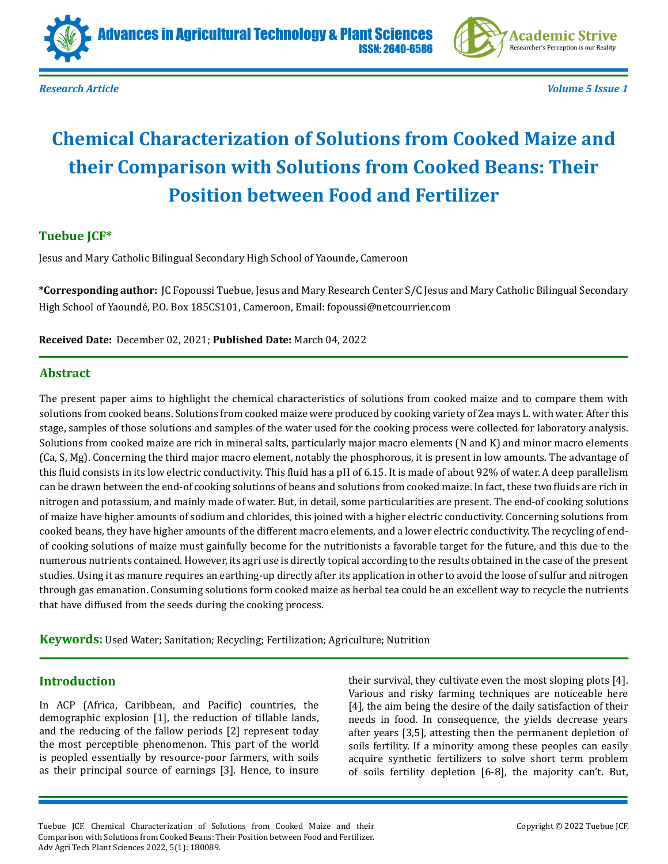





*Research Article Volume 5 Issue 1*

# **Chemical Characterization of Solutions from Cooked Maize and their Comparison with Solutions from Cooked Beans: Their Position between Food and Fertilizer**

# **Tuebue JCF\***

Jesus and Mary Catholic Bilingual Secondary High School of Yaounde, Cameroon

**\*Corresponding author:** JC Fopoussi Tuebue, Jesus and Mary Research Center S/C Jesus and Mary Catholic Bilingual Secondary High School of Yaoundé, P.O. Box 185CS101, Cameroon, Email: fopoussi@netcourrier.com

**Received Date:** December 02, 2021; **Published Date:** March 04, 2022

# **Abstract**

The present paper aims to highlight the chemical characteristics of solutions from cooked maize and to compare them with solutions from cooked beans. Solutions from cooked maize were produced by cooking variety of Zea mays L. with water. After this stage, samples of those solutions and samples of the water used for the cooking process were collected for laboratory analysis. Solutions from cooked maize are rich in mineral salts, particularly major macro elements (N and K) and minor macro elements (Ca, S, Mg). Concerning the third major macro element, notably the phosphorous, it is present in low amounts. The advantage of this fluid consists in its low electric conductivity. This fluid has a pH of 6.15. It is made of about 92% of water. A deep parallelism can be drawn between the end-of cooking solutions of beans and solutions from cooked maize. In fact, these two fluids are rich in nitrogen and potassium, and mainly made of water. But, in detail, some particularities are present. The end-of cooking solutions of maize have higher amounts of sodium and chlorides, this joined with a higher electric conductivity. Concerning solutions from cooked beans, they have higher amounts of the different macro elements, and a lower electric conductivity. The recycling of endof cooking solutions of maize must gainfully become for the nutritionists a favorable target for the future, and this due to the numerous nutrients contained. However, its agri use is directly topical according to the results obtained in the case of the present studies. Using it as manure requires an earthing-up directly after its application in other to avoid the loose of sulfur and nitrogen through gas emanation. Consuming solutions form cooked maize as herbal tea could be an excellent way to recycle the nutrients that have diffused from the seeds during the cooking process.

**Keywords:** Used Water; Sanitation; Recycling; Fertilization; Agriculture; Nutrition

# **Introduction**

In ACP (Africa, Caribbean, and Pacific) countries, the demographic explosion [1], the reduction of tillable lands, and the reducing of the fallow periods [2] represent today the most perceptible phenomenon. This part of the world is peopled essentially by resource-poor farmers, with soils as their principal source of earnings [3]. Hence, to insure their survival, they cultivate even the most sloping plots [4]. Various and risky farming techniques are noticeable here [4], the aim being the desire of the daily satisfaction of their needs in food. In consequence, the yields decrease years after years [3,5], attesting then the permanent depletion of soils fertility. If a minority among these peoples can easily acquire synthetic fertilizers to solve short term problem of soils fertility depletion [6-8], the majority can't. But,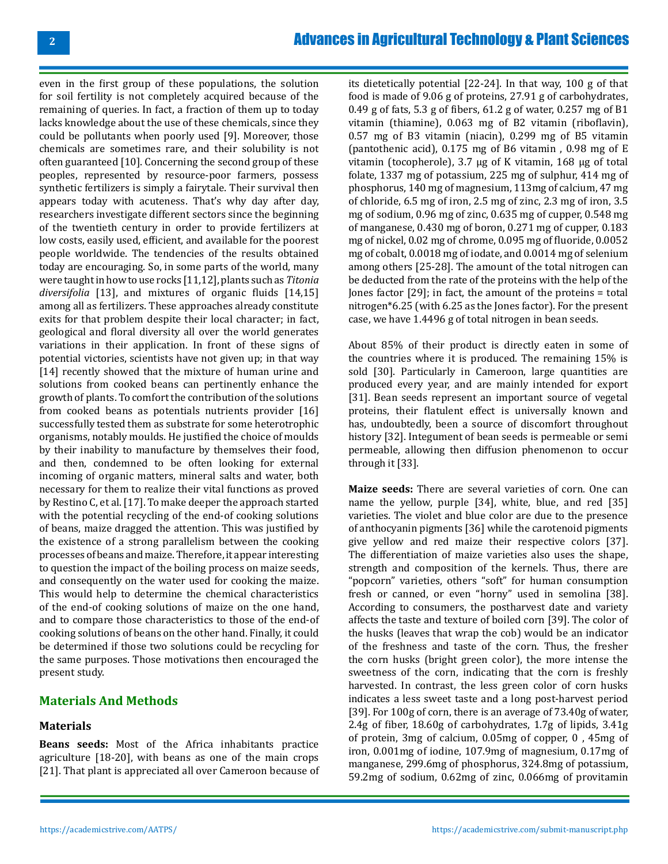even in the first group of these populations, the solution for soil fertility is not completely acquired because of the remaining of queries. In fact, a fraction of them up to today lacks knowledge about the use of these chemicals, since they could be pollutants when poorly used [9]. Moreover, those chemicals are sometimes rare, and their solubility is not often guaranteed [10]. Concerning the second group of these peoples, represented by resource-poor farmers, possess synthetic fertilizers is simply a fairytale. Their survival then appears today with acuteness. That's why day after day, researchers investigate different sectors since the beginning of the twentieth century in order to provide fertilizers at low costs, easily used, efficient, and available for the poorest people worldwide. The tendencies of the results obtained today are encouraging. So, in some parts of the world, many were taught in how to use rocks [11,12], plants such as *Titonia diversifolia* [13], and mixtures of organic fluids [14,15] among all as fertilizers. These approaches already constitute exits for that problem despite their local character; in fact, geological and floral diversity all over the world generates variations in their application. In front of these signs of potential victories, scientists have not given up; in that way [14] recently showed that the mixture of human urine and solutions from cooked beans can pertinently enhance the growth of plants. To comfort the contribution of the solutions from cooked beans as potentials nutrients provider [16] successfully tested them as substrate for some heterotrophic organisms, notably moulds. He justified the choice of moulds by their inability to manufacture by themselves their food, and then, condemned to be often looking for external incoming of organic matters, mineral salts and water, both necessary for them to realize their vital functions as proved by Restino C, et al. [17]. To make deeper the approach started with the potential recycling of the end-of cooking solutions of beans, maize dragged the attention. This was justified by the existence of a strong parallelism between the cooking processes of beans and maize. Therefore, it appear interesting to question the impact of the boiling process on maize seeds, and consequently on the water used for cooking the maize. This would help to determine the chemical characteristics of the end-of cooking solutions of maize on the one hand, and to compare those characteristics to those of the end-of cooking solutions of beans on the other hand. Finally, it could be determined if those two solutions could be recycling for the same purposes. Those motivations then encouraged the present study.

# **Materials And Methods**

### **Materials**

**Beans seeds:** Most of the Africa inhabitants practice agriculture [18-20], with beans as one of the main crops [21]. That plant is appreciated all over Cameroon because of

its dietetically potential [22-24]. In that way, 100 g of that food is made of 9.06 g of proteins, 27.91 g of carbohydrates, 0.49 g of fats, 5.3 g of fibers, 61.2 g of water, 0.257 mg of B1 vitamin (thiamine), 0.063 mg of B2 vitamin (riboflavin), 0.57 mg of B3 vitamin (niacin), 0.299 mg of B5 vitamin (pantothenic acid), 0.175 mg of B6 vitamin , 0.98 mg of E vitamin (tocopherole), 3.7 μg of K vitamin, 168 μg of total folate, 1337 mg of potassium, 225 mg of sulphur, 414 mg of phosphorus, 140 mg of magnesium, 113mg of calcium, 47 mg of chloride, 6.5 mg of iron, 2.5 mg of zinc, 2.3 mg of iron, 3.5 mg of sodium, 0.96 mg of zinc, 0.635 mg of cupper, 0.548 mg of manganese, 0.430 mg of boron, 0.271 mg of cupper, 0.183 mg of nickel, 0.02 mg of chrome, 0.095 mg of fluoride, 0.0052 mg of cobalt, 0.0018 mg of iodate, and 0.0014 mg of selenium among others [25-28]. The amount of the total nitrogen can be deducted from the rate of the proteins with the help of the Jones factor [29]; in fact, the amount of the proteins = total nitrogen\*6.25 (with 6.25 as the Jones factor). For the present case, we have 1.4496 g of total nitrogen in bean seeds.

About 85% of their product is directly eaten in some of the countries where it is produced. The remaining 15% is sold [30]. Particularly in Cameroon, large quantities are produced every year, and are mainly intended for export [31]. Bean seeds represent an important source of vegetal proteins, their flatulent effect is universally known and has, undoubtedly, been a source of discomfort throughout history [32]. Integument of bean seeds is permeable or semi permeable, allowing then diffusion phenomenon to occur through it [33].

**Maize seeds:** There are several varieties of corn. One can name the yellow, purple [34], white, blue, and red [35] varieties. The violet and blue color are due to the presence of anthocyanin pigments [36] while the carotenoid pigments give yellow and red maize their respective colors [37]. The differentiation of maize varieties also uses the shape, strength and composition of the kernels. Thus, there are "popcorn" varieties, others "soft" for human consumption fresh or canned, or even "horny" used in semolina [38]. According to consumers, the postharvest date and variety affects the taste and texture of boiled corn [39]. The color of the husks (leaves that wrap the cob) would be an indicator of the freshness and taste of the corn. Thus, the fresher the corn husks (bright green color), the more intense the sweetness of the corn, indicating that the corn is freshly harvested. In contrast, the less green color of corn husks indicates a less sweet taste and a long post-harvest period [39]. For 100g of corn, there is an average of 73.40g of water, 2.4g of fiber, 18.60g of carbohydrates, 1.7g of lipids, 3.41g of protein, 3mg of calcium, 0.05mg of copper, 0 , 45mg of iron, 0.001mg of iodine, 107.9mg of magnesium, 0.17mg of manganese, 299.6mg of phosphorus, 324.8mg of potassium, 59.2mg of sodium, 0.62mg of zinc, 0.066mg of provitamin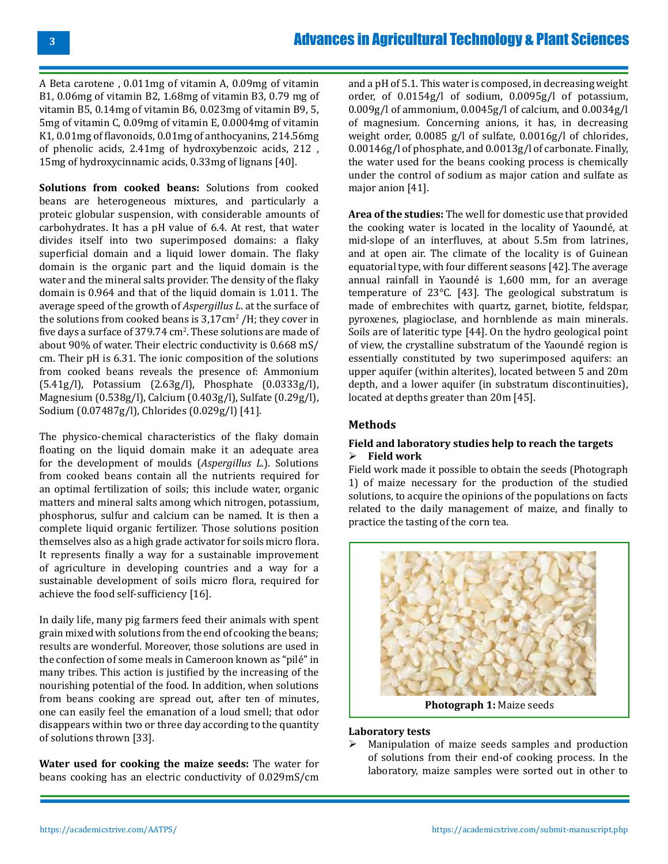A Beta carotene , 0.011mg of vitamin A, 0.09mg of vitamin B1, 0.06mg of vitamin B2, 1.68mg of vitamin B3, 0.79 mg of vitamin B5, 0.14mg of vitamin B6, 0.023mg of vitamin B9, 5, 5mg of vitamin C, 0.09mg of vitamin E, 0.0004mg of vitamin K1, 0.01mg of flavonoids, 0.01mg of anthocyanins, 214.56mg of phenolic acids, 2.41mg of hydroxybenzoic acids, 212 , 15mg of hydroxycinnamic acids, 0.33mg of lignans [40].

**Solutions from cooked beans:** Solutions from cooked beans are heterogeneous mixtures, and particularly a proteic globular suspension, with considerable amounts of carbohydrates. It has a pH value of 6.4. At rest, that water divides itself into two superimposed domains: a flaky superficial domain and a liquid lower domain. The flaky domain is the organic part and the liquid domain is the water and the mineral salts provider. The density of the flaky domain is 0.964 and that of the liquid domain is 1.011. The average speed of the growth of *Aspergillus L*. at the surface of the solutions from cooked beans is  $3,17$  cm<sup>2</sup> /H; they cover in five days a surface of  $379.74 \text{ cm}^2$ . These solutions are made of about 90% of water. Their electric conductivity is 0.668 mS/ cm. Their pH is 6.31. The ionic composition of the solutions from cooked beans reveals the presence of: Ammonium (5.41g/l), Potassium (2.63g/l), Phosphate (0.0333g/l), Magnesium (0.538g/l), Calcium (0.403g/l), Sulfate (0.29g/l), Sodium (0.07487g/l), Chlorides (0.029g/l) [41].

The physico-chemical characteristics of the flaky domain floating on the liquid domain make it an adequate area for the development of moulds (*Aspergillus L.*). Solutions from cooked beans contain all the nutrients required for an optimal fertilization of soils; this include water, organic matters and mineral salts among which nitrogen, potassium, phosphorus, sulfur and calcium can be named. It is then a complete liquid organic fertilizer. Those solutions position themselves also as a high grade activator for soils micro flora. It represents finally a way for a sustainable improvement of agriculture in developing countries and a way for a sustainable development of soils micro flora, required for achieve the food self-sufficiency [16].

In daily life, many pig farmers feed their animals with spent grain mixed with solutions from the end of cooking the beans; results are wonderful. Moreover, those solutions are used in the confection of some meals in Cameroon known as "pilé" in many tribes. This action is justified by the increasing of the nourishing potential of the food. In addition, when solutions from beans cooking are spread out, after ten of minutes, one can easily feel the emanation of a loud smell; that odor disappears within two or three day according to the quantity of solutions thrown [33].

**Water used for cooking the maize seeds:** The water for beans cooking has an electric conductivity of 0.029mS/cm

and a pH of 5.1. This water is composed, in decreasing weight order, of 0.0154g/l of sodium, 0.0095g/l of potassium, 0.009g/l of ammonium, 0.0045g/l of calcium, and 0.0034g/l of magnesium. Concerning anions, it has, in decreasing weight order, 0.0085 g/l of sulfate, 0.0016g/l of chlorides, 0.00146g/l of phosphate, and 0.0013g/l of carbonate. Finally, the water used for the beans cooking process is chemically under the control of sodium as major cation and sulfate as major anion [41].

**Area of the studies:** The well for domestic use that provided the cooking water is located in the locality of Yaoundé, at mid-slope of an interfluves, at about 5.5m from latrines, and at open air. The climate of the locality is of Guinean equatorial type, with four different seasons [42]. The average annual rainfall in Yaoundé is 1,600 mm, for an average temperature of 23°C. [43]. The geological substratum is made of embrechites with quartz, garnet, biotite, feldspar, pyroxenes, plagioclase, and hornblende as main minerals. Soils are of lateritic type [44]. On the hydro geological point of view, the crystalline substratum of the Yaoundé region is essentially constituted by two superimposed aquifers: an upper aquifer (within alterites), located between 5 and 20m depth, and a lower aquifer (in substratum discontinuities), located at depths greater than 20m [45].

### **Methods**

### **Field and laboratory studies help to reach the targets Field work**

Field work made it possible to obtain the seeds (Photograph 1) of maize necessary for the production of the studied solutions, to acquire the opinions of the populations on facts related to the daily management of maize, and finally to practice the tasting of the corn tea.



**Photograph 1:** Maize seeds

### **Laboratory tests**

 Manipulation of maize seeds samples and production of solutions from their end-of cooking process. In the laboratory, maize samples were sorted out in other to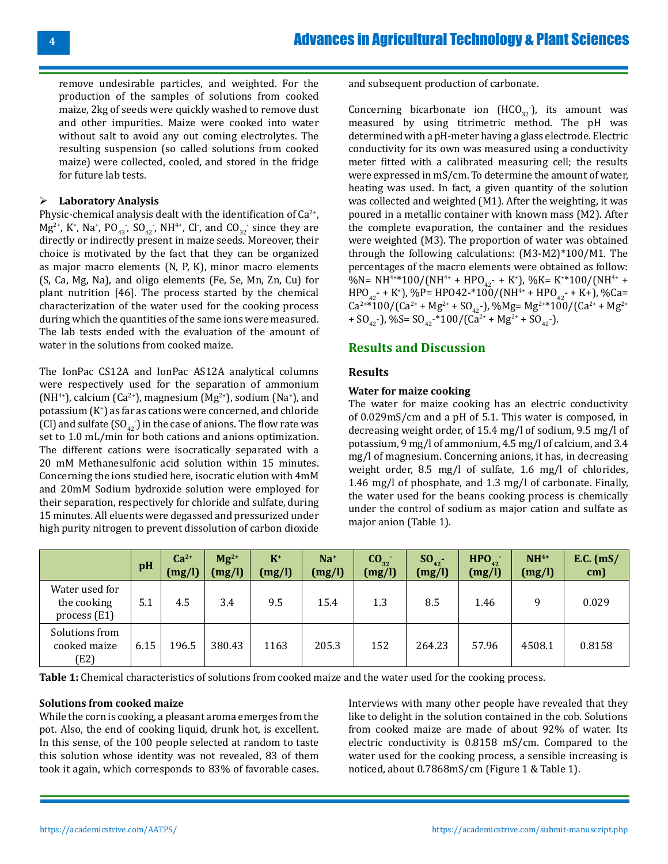remove undesirable particles, and weighted. For the production of the samples of solutions from cooked maize, 2kg of seeds were quickly washed to remove dust and other impurities. Maize were cooked into water without salt to avoid any out coming electrolytes. The resulting suspension (so called solutions from cooked maize) were collected, cooled, and stored in the fridge for future lab tests.

### **Laboratory Analysis**

Physic-chemical analysis dealt with the identification of  $Ca^{2+}$ ,  $Mg^{2+}$ , K<sup>+</sup>, Na<sup>+</sup>, PO<sub>43</sub>, SO<sub>42</sub>, NH<sup>4+</sup>, Cl<sup>-</sup>, and CO<sub>32</sub> since they are directly or indirectly present in maize seeds. Moreover, their choice is motivated by the fact that they can be organized as major macro elements (N, P, K), minor macro elements (S, Ca, Mg, Na), and oligo elements (Fe, Se, Mn, Zn, Cu) for plant nutrition [46]. The process started by the chemical characterization of the water used for the cooking process during which the quantities of the same ions were measured. The lab tests ended with the evaluation of the amount of water in the solutions from cooked maize.

The IonPac CS12A and IonPac AS12A analytical columns were respectively used for the separation of ammonium  $(MH^{4+})$ , calcium (Ca<sup>2+</sup>), magnesium (Mg<sup>2+</sup>), sodium (Na<sup>+</sup>), and potassium (K<sup>+</sup> ) as far as cations were concerned, and chloride (CI) and sulfate  $(SO_{42})$  in the case of anions. The flow rate was set to 1.0 mL/min for both cations and anions optimization. The different cations were isocratically separated with a 20 mM Methanesulfonic acid solution within 15 minutes. Concerning the ions studied here, isocratic elution with 4mM and 20mM Sodium hydroxide solution were employed for their separation, respectively for chloride and sulfate, during 15 minutes. All eluents were degassed and pressurized under high purity nitrogen to prevent dissolution of carbon dioxide

and subsequent production of carbonate.

Concerning bicarbonate ion  $(HCO_{32})$ , its amount was measured by using titrimetric method. The pH was determined with a pH-meter having a glass electrode. Electric conductivity for its own was measured using a conductivity meter fitted with a calibrated measuring cell; the results were expressed in mS/cm. To determine the amount of water, heating was used. In fact, a given quantity of the solution was collected and weighted (M1). After the weighting, it was poured in a metallic container with known mass (M2). After the complete evaporation, the container and the residues were weighted (M3). The proportion of water was obtained through the following calculations: (M3-M2)\*100/M1. The percentages of the macro elements were obtained as follow: %N= NH<sup>4+\*</sup>100/(NH<sup>4+</sup> + HPO<sub>42</sub>- + K<sup>+</sup>), %K= K<sup>+\*</sup>100/(NH<sup>4+</sup> +  $HPO_{42}$  + K<sup>+</sup>), %P= HPO42 \*100/(NH<sup>4+</sup> + HPO<sub>42</sub> + K+), %Ca=  $Ca^{2+}*100/(Ca^{2+}+Mg^{2+}+SO_{42})$ , %Mg= Mg<sup>2+\*</sup>100/(Ca<sup>2+</sup> + Mg<sup>2+</sup> + SO<sub>42</sub>-), %S= SO<sub>42</sub>-\*100/(Ca<sup>2+</sup> + Mg<sup>2+</sup> + SO<sub>42</sub>-).

# **Results and Discussion**

### **Results**

### **Water for maize cooking**

The water for maize cooking has an electric conductivity of 0.029mS/cm and a pH of 5.1. This water is composed, in decreasing weight order, of 15.4 mg/l of sodium, 9.5 mg/l of potassium, 9 mg/l of ammonium, 4.5 mg/l of calcium, and 3.4 mg/l of magnesium. Concerning anions, it has, in decreasing weight order, 8.5 mg/l of sulfate, 1.6 mg/l of chlorides, 1.46 mg/l of phosphate, and 1.3 mg/l of carbonate. Finally, the water used for the beans cooking process is chemically under the control of sodium as major cation and sulfate as major anion (Table 1).

|                                                 | pH   | $Ca2+$<br>(mg/l) | $Mg^{2+}$<br>(mg/l) | $K^+$<br>(mg/l) | $Na+$<br>(mg/l) | CO <sub>32</sub><br>(mg/l) | $SO_{42}$ -<br>(mg/l) | HPO <sub>42</sub><br>(mg/l) | $NH4+$<br>(mg/l) | $E.C.$ (mS/<br>cm) |
|-------------------------------------------------|------|------------------|---------------------|-----------------|-----------------|----------------------------|-----------------------|-----------------------------|------------------|--------------------|
| Water used for<br>the cooking<br>process $(E1)$ | 5.1  | 4.5              | 3.4                 | 9.5             | 15.4            | 1.3                        | 8.5                   | 1.46                        | q                | 0.029              |
| Solutions from<br>cooked maize<br>(E2)          | 6.15 | 196.5            | 380.43              | 1163            | 205.3           | 152                        | 264.23                | 57.96                       | 4508.1           | 0.8158             |

**Table 1:** Chemical characteristics of solutions from cooked maize and the water used for the cooking process.

#### **Solutions from cooked maize**

While the corn is cooking, a pleasant aroma emerges from the pot. Also, the end of cooking liquid, drunk hot, is excellent. In this sense, of the 100 people selected at random to taste this solution whose identity was not revealed, 83 of them took it again, which corresponds to 83% of favorable cases.

Interviews with many other people have revealed that they like to delight in the solution contained in the cob. Solutions from cooked maize are made of about 92% of water. Its electric conductivity is 0.8158 mS/cm. Compared to the water used for the cooking process, a sensible increasing is noticed, about 0.7868mS/cm (Figure 1 & Table 1).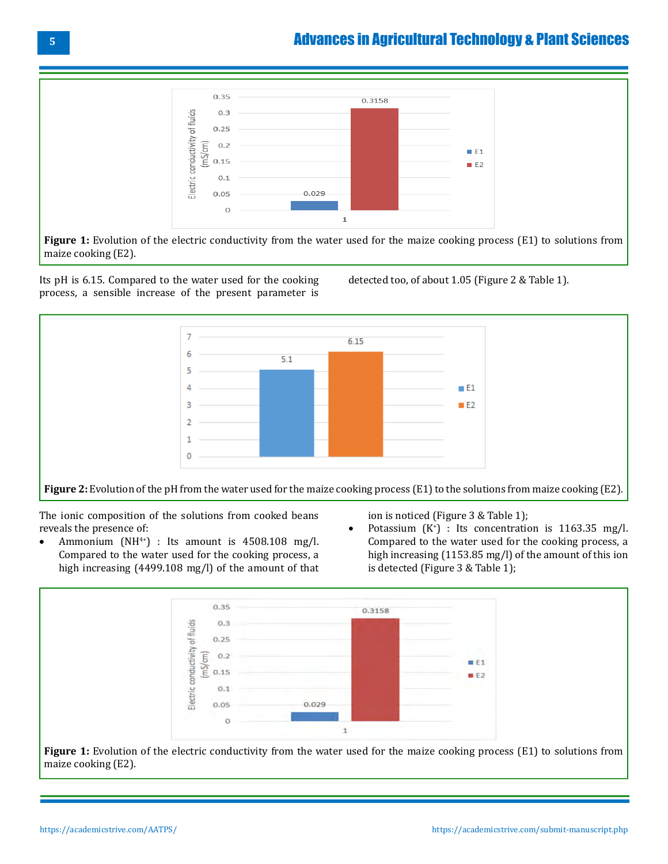

**Figure 1:** Evolution of the electric conductivity from the water used for the maize cooking process (E1) to solutions from maize cooking (E2).

Its pH is 6.15. Compared to the water used for the cooking process, a sensible increase of the present parameter is detected too, of about 1.05 (Figure 2 & Table 1).



**Figure 2:** Evolution of the pH from the water used for the maize cooking process (E1) to the solutions from maize cooking (E2).

The ionic composition of the solutions from cooked beans reveals the presence of:<br>• Ammonium (NH<sup>4+</sup>)

Ammonium  $(NH<sup>4+</sup>)$  : Its amount is 4508.108 mg/l. Compared to the water used for the cooking process, a high increasing (4499.108 mg/l) of the amount of that ion is noticed (Figure 3 & Table 1);

• Potassium  $(K^+)$  : Its concentration is 1163.35 mg/l. Compared to the water used for the cooking process, a high increasing (1153.85 mg/l) of the amount of this ion is detected (Figure 3 & Table 1);



**Figure 1:** Evolution of the electric conductivity from the water used for the maize cooking process (E1) to solutions from maize cooking (E2).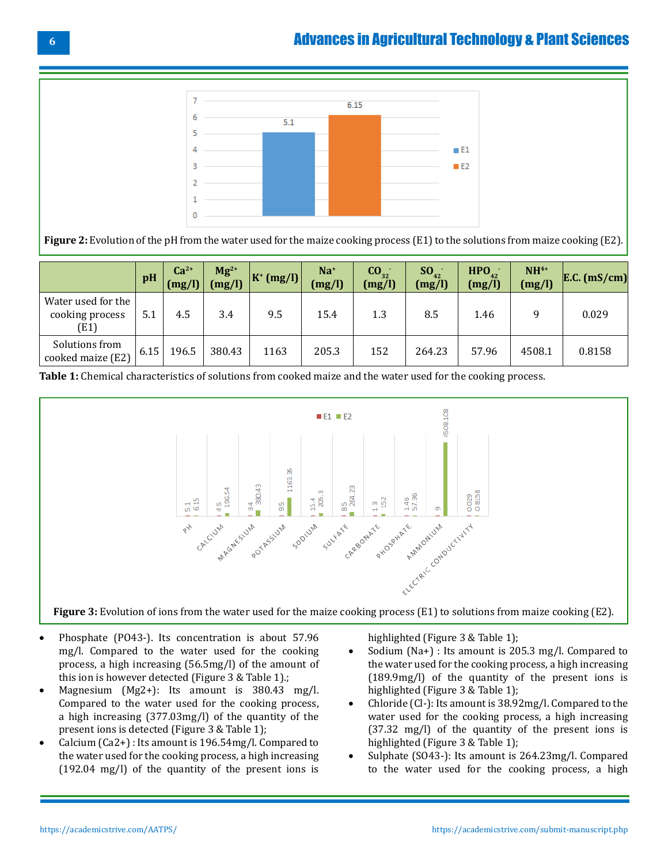

**Figure 2:** Evolution of the pH from the water used for the maize cooking process (E1) to the solutions from maize cooking (E2).

|                                               | pH   | $Ca2+$<br>(mg/l) | $Mg^{2+}$<br>(mg/l) | $ K^+(mg/l) $ | $Na+$<br>(mg/l) | CO <sub>32</sub><br>(mg/l) | $SO_{42}^-$<br>(mg/l) | HPO <sub>42</sub><br>(mg/l) | $NH4+$<br>(mg/l) | $E.C.$ (mS/cm) |
|-----------------------------------------------|------|------------------|---------------------|---------------|-----------------|----------------------------|-----------------------|-----------------------------|------------------|----------------|
| Water used for the<br>cooking process<br>(E1) | 5.1  | 4.5              | 3.4                 | 9.5           | 15.4            | 1.3                        | 8.5                   | 1.46                        |                  | 0.029          |
| Solutions from<br>cooked maize (E2)           | 6.15 | 196.5            | 380.43              | 1163          | 205.3           | 152                        | 264.23                | 57.96                       | 4508.1           | 0.8158         |

**Table 1:** Chemical characteristics of solutions from cooked maize and the water used for the cooking process.



- • Phosphate (PO43-). Its concentration is about 57.96 mg/l. Compared to the water used for the cooking process, a high increasing (56.5mg/l) of the amount of this ion is however detected (Figure 3 & Table 1).;
- Magnesium (Mg2+): Its amount is  $380.43$  mg/l. Compared to the water used for the cooking process, a high increasing (377.03mg/l) of the quantity of the present ions is detected (Figure 3 & Table 1);
- Calcium (Ca2+) : Its amount is  $196.54$ mg/l. Compared to the water used for the cooking process, a high increasing (192.04 mg/l) of the quantity of the present ions is

highlighted (Figure 3 & Table 1);

- Sodium (Na+) : Its amount is 205.3 mg/l. Compared to the water used for the cooking process, a high increasing (189.9mg/l) of the quantity of the present ions is highlighted (Figure 3 & Table 1);
- Chloride (Cl-): Its amount is 38.92mg/l. Compared to the water used for the cooking process, a high increasing (37.32 mg/l) of the quantity of the present ions is highlighted (Figure 3 & Table 1);
- Sulphate (SO43-): Its amount is 264.23mg/l. Compared to the water used for the cooking process, a high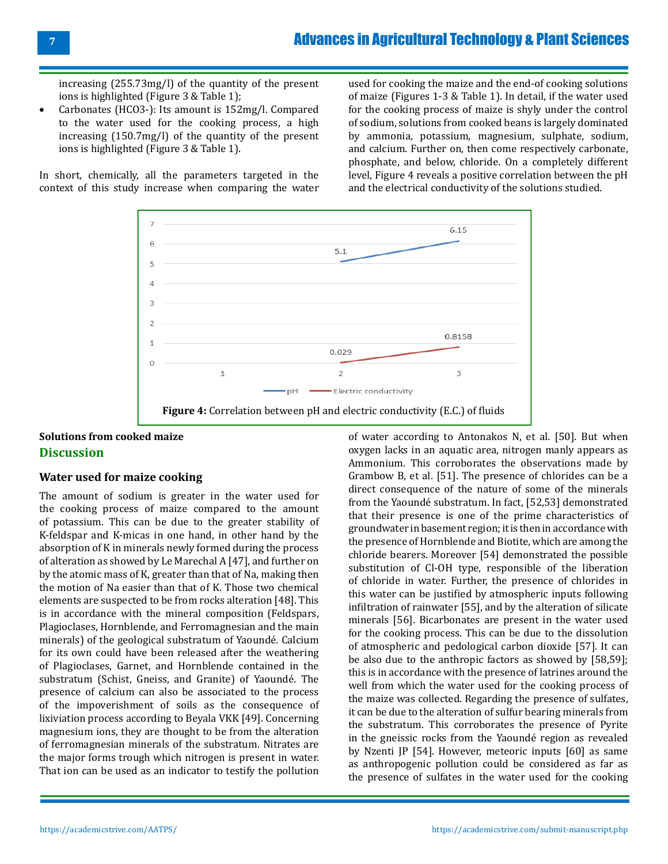increasing (255.73mg/l) of the quantity of the present ions is highlighted (Figure 3 & Table 1);

Carbonates (HCO3-): Its amount is 152mg/l. Compared to the water used for the cooking process, a high increasing (150.7mg/l) of the quantity of the present ions is highlighted (Figure 3 & Table 1).

In short, chemically, all the parameters targeted in the context of this study increase when comparing the water

used for cooking the maize and the end-of cooking solutions of maize (Figures 1-3 & Table 1). In detail, if the water used for the cooking process of maize is shyly under the control of sodium, solutions from cooked beans is largely dominated by ammonia, potassium, magnesium, sulphate, sodium, and calcium. Further on, then come respectively carbonate, phosphate, and below, chloride. On a completely different level, Figure 4 reveals a positive correlation between the pH and the electrical conductivity of the solutions studied.



# **Solutions from cooked maize Discussion**

### **Water used for maize cooking**

The amount of sodium is greater in the water used for the cooking process of maize compared to the amount of potassium. This can be due to the greater stability of K-feldspar and K-micas in one hand, in other hand by the absorption of K in minerals newly formed during the process of alteration as showed by Le Marechal A [47], and further on by the atomic mass of K, greater than that of Na, making then the motion of Na easier than that of K. Those two chemical elements are suspected to be from rocks alteration [48]. This is in accordance with the mineral composition (Feldspars, Plagioclases, Hornblende, and Ferromagnesian and the main minerals) of the geological substratum of Yaoundé. Calcium for its own could have been released after the weathering of Plagioclases, Garnet, and Hornblende contained in the substratum (Schist, Gneiss, and Granite) of Yaoundé. The presence of calcium can also be associated to the process of the impoverishment of soils as the consequence of lixiviation process according to Beyala VKK [49]. Concerning magnesium ions, they are thought to be from the alteration of ferromagnesian minerals of the substratum. Nitrates are the major forms trough which nitrogen is present in water. That ion can be used as an indicator to testify the pollution

of water according to Antonakos N, et al. [50]. But when oxygen lacks in an aquatic area, nitrogen manly appears as Ammonium. This corroborates the observations made by Grambow B, et al. [51]. The presence of chlorides can be a direct consequence of the nature of some of the minerals from the Yaoundé substratum. In fact, [52,53] demonstrated that their presence is one of the prime characteristics of groundwater in basement region; it is then in accordance with the presence of Hornblende and Biotite, which are among the chloride bearers. Moreover [54] demonstrated the possible substitution of Cl-OH type, responsible of the liberation of chloride in water. Further, the presence of chlorides in this water can be justified by atmospheric inputs following infiltration of rainwater [55], and by the alteration of silicate minerals [56]. Bicarbonates are present in the water used for the cooking process. This can be due to the dissolution of atmospheric and pedological carbon dioxide [57]. It can be also due to the anthropic factors as showed by [58,59]; this is in accordance with the presence of latrines around the well from which the water used for the cooking process of the maize was collected. Regarding the presence of sulfates, it can be due to the alteration of sulfur bearing minerals from the substratum. This corroborates the presence of Pyrite in the gneissic rocks from the Yaoundé region as revealed by Nzenti JP [54]. However, meteoric inputs [60] as same as anthropogenic pollution could be considered as far as the presence of sulfates in the water used for the cooking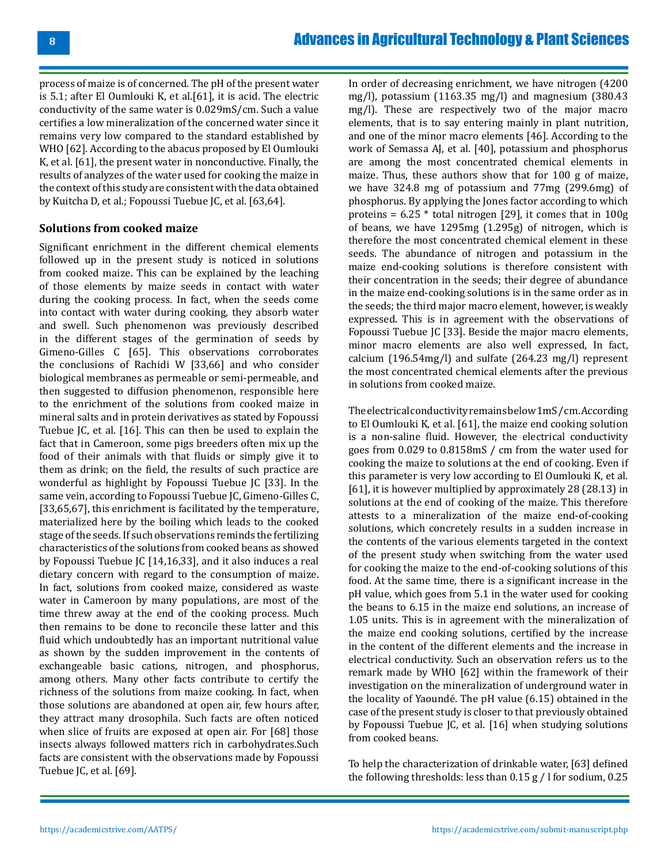process of maize is of concerned. The pH of the present water is 5.1; after El Oumlouki K, et al.[61], it is acid. The electric conductivity of the same water is 0.029mS/cm. Such a value certifies a low mineralization of the concerned water since it remains very low compared to the standard established by WHO [62]. According to the abacus proposed by El Oumlouki K, et al. [61], the present water in nonconductive. Finally, the results of analyzes of the water used for cooking the maize in the context of this study are consistent with the data obtained by Kuitcha D, et al.; Fopoussi Tuebue JC, et al. [63,64].

### **Solutions from cooked maize**

Significant enrichment in the different chemical elements followed up in the present study is noticed in solutions from cooked maize. This can be explained by the leaching of those elements by maize seeds in contact with water during the cooking process. In fact, when the seeds come into contact with water during cooking, they absorb water and swell. Such phenomenon was previously described in the different stages of the germination of seeds by Gimeno-Gilles C [65]. This observations corroborates the conclusions of Rachidi W [33,66] and who consider biological membranes as permeable or semi-permeable, and then suggested to diffusion phenomenon, responsible here to the enrichment of the solutions from cooked maize in mineral salts and in protein derivatives as stated by Fopoussi Tuebue JC, et al. [16]. This can then be used to explain the fact that in Cameroon, some pigs breeders often mix up the food of their animals with that fluids or simply give it to them as drink; on the field, the results of such practice are wonderful as highlight by Fopoussi Tuebue JC [33]. In the same vein, according to Fopoussi Tuebue JC, Gimeno-Gilles C, [33,65,67], this enrichment is facilitated by the temperature, materialized here by the boiling which leads to the cooked stage of the seeds. If such observations reminds the fertilizing characteristics of the solutions from cooked beans as showed by Fopoussi Tuebue JC [14,16,33], and it also induces a real dietary concern with regard to the consumption of maize. In fact, solutions from cooked maize, considered as waste water in Cameroon by many populations, are most of the time threw away at the end of the cooking process. Much then remains to be done to reconcile these latter and this fluid which undoubtedly has an important nutritional value as shown by the sudden improvement in the contents of exchangeable basic cations, nitrogen, and phosphorus, among others. Many other facts contribute to certify the richness of the solutions from maize cooking. In fact, when those solutions are abandoned at open air, few hours after, they attract many drosophila. Such facts are often noticed when slice of fruits are exposed at open air. For [68] those insects always followed matters rich in carbohydrates.Such facts are consistent with the observations made by Fopoussi Tuebue JC, et al. [69].

In order of decreasing enrichment, we have nitrogen (4200 mg/l), potassium (1163.35 mg/l) and magnesium (380.43 mg/l). These are respectively two of the major macro elements, that is to say entering mainly in plant nutrition, and one of the minor macro elements [46]. According to the work of Semassa AJ, et al. [40], potassium and phosphorus are among the most concentrated chemical elements in maize. Thus, these authors show that for 100 g of maize, we have 324.8 mg of potassium and 77mg (299.6mg) of phosphorus. By applying the Jones factor according to which proteins =  $6.25$  \* total nitrogen [29], it comes that in 100g of beans, we have 1295mg (1.295g) of nitrogen, which is therefore the most concentrated chemical element in these seeds. The abundance of nitrogen and potassium in the maize end-cooking solutions is therefore consistent with their concentration in the seeds; their degree of abundance in the maize end-cooking solutions is in the same order as in the seeds; the third major macro element, however, is weakly expressed. This is in agreement with the observations of Fopoussi Tuebue JC [33]. Beside the major macro elements, minor macro elements are also well expressed, In fact, calcium (196.54mg/l) and sulfate (264.23 mg/l) represent the most concentrated chemical elements after the previous in solutions from cooked maize.

The electrical conductivity remains below 1mS / cm. According to El Oumlouki K, et al. [61], the maize end cooking solution is a non-saline fluid. However, the electrical conductivity goes from 0.029 to 0.8158mS / cm from the water used for cooking the maize to solutions at the end of cooking. Even if this parameter is very low according to El Oumlouki K, et al. [61], it is however multiplied by approximately 28 (28.13) in solutions at the end of cooking of the maize. This therefore attests to a mineralization of the maize end-of-cooking solutions, which concretely results in a sudden increase in the contents of the various elements targeted in the context of the present study when switching from the water used for cooking the maize to the end-of-cooking solutions of this food. At the same time, there is a significant increase in the pH value, which goes from 5.1 in the water used for cooking the beans to 6.15 in the maize end solutions, an increase of 1.05 units. This is in agreement with the mineralization of the maize end cooking solutions, certified by the increase in the content of the different elements and the increase in electrical conductivity. Such an observation refers us to the remark made by WHO [62] within the framework of their investigation on the mineralization of underground water in the locality of Yaoundé. The pH value (6.15) obtained in the case of the present study is closer to that previously obtained by Fopoussi Tuebue JC, et al. [16] when studying solutions from cooked beans.

To help the characterization of drinkable water, [63] defined the following thresholds: less than 0.15 g / l for sodium, 0.25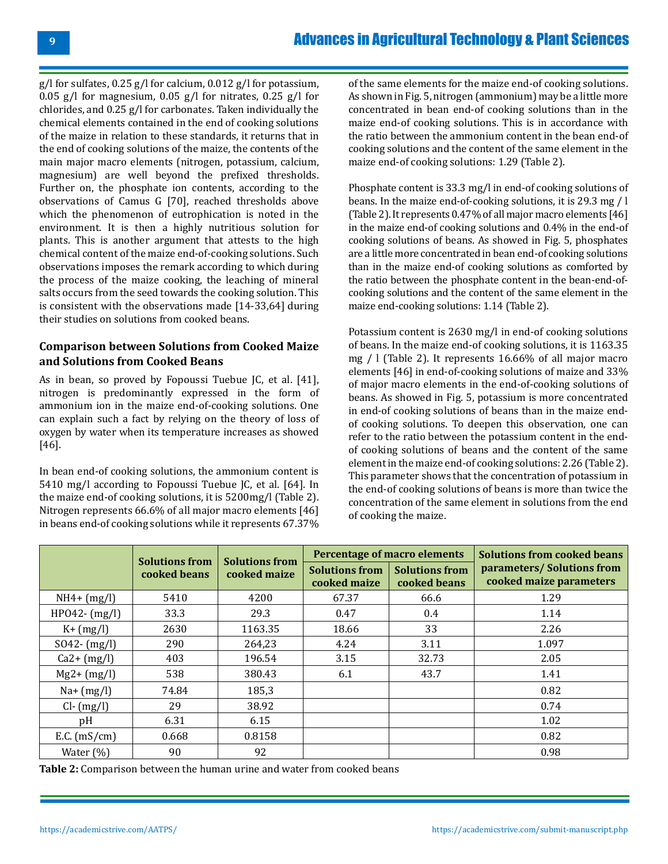g/l for sulfates, 0.25 g/l for calcium, 0.012 g/l for potassium, 0.05 g/l for magnesium, 0.05 g/l for nitrates, 0.25 g/l for chlorides, and 0.25 g/l for carbonates. Taken individually the chemical elements contained in the end of cooking solutions of the maize in relation to these standards, it returns that in the end of cooking solutions of the maize, the contents of the main major macro elements (nitrogen, potassium, calcium, magnesium) are well beyond the prefixed thresholds. Further on, the phosphate ion contents, according to the observations of Camus G [70], reached thresholds above which the phenomenon of eutrophication is noted in the environment. It is then a highly nutritious solution for plants. This is another argument that attests to the high chemical content of the maize end-of-cooking solutions. Such observations imposes the remark according to which during the process of the maize cooking, the leaching of mineral salts occurs from the seed towards the cooking solution. This is consistent with the observations made [14-33,64] during their studies on solutions from cooked beans.

### **Comparison between Solutions from Cooked Maize and Solutions from Cooked Beans**

As in bean, so proved by Fopoussi Tuebue JC, et al. [41], nitrogen is predominantly expressed in the form of ammonium ion in the maize end-of-cooking solutions. One can explain such a fact by relying on the theory of loss of oxygen by water when its temperature increases as showed [46].

In bean end-of cooking solutions, the ammonium content is 5410 mg/l according to Fopoussi Tuebue JC, et al. [64]. In the maize end-of cooking solutions, it is 5200mg/l (Table 2). Nitrogen represents 66.6% of all major macro elements [46] in beans end-of cooking solutions while it represents 67.37%

of the same elements for the maize end-of cooking solutions. As shown in Fig. 5, nitrogen (ammonium) may be a little more concentrated in bean end-of cooking solutions than in the maize end-of cooking solutions. This is in accordance with the ratio between the ammonium content in the bean end-of cooking solutions and the content of the same element in the maize end-of cooking solutions: 1.29 (Table 2).

Phosphate content is 33.3 mg/l in end-of cooking solutions of beans. In the maize end-of-cooking solutions, it is 29.3 mg / l (Table 2). It represents 0.47% of all major macro elements [46] in the maize end-of cooking solutions and 0.4% in the end-of cooking solutions of beans. As showed in Fig. 5, phosphates are a little more concentrated in bean end-of cooking solutions than in the maize end-of cooking solutions as comforted by the ratio between the phosphate content in the bean-end-ofcooking solutions and the content of the same element in the maize end-cooking solutions: 1.14 (Table 2).

Potassium content is 2630 mg/l in end-of cooking solutions of beans. In the maize end-of cooking solutions, it is 1163.35 mg / l (Table 2). It represents 16.66% of all major macro elements [46] in end-of-cooking solutions of maize and 33% of major macro elements in the end-of-cooking solutions of beans. As showed in Fig. 5, potassium is more concentrated in end-of cooking solutions of beans than in the maize endof cooking solutions. To deepen this observation, one can refer to the ratio between the potassium content in the endof cooking solutions of beans and the content of the same element in the maize end-of cooking solutions: 2.26 (Table 2). This parameter shows that the concentration of potassium in the end-of cooking solutions of beans is more than twice the concentration of the same element in solutions from the end of cooking the maize.

|                  | <b>Solutions from</b> | <b>Solutions from</b> |                                       | Percentage of macro elements          | <b>Solutions from cooked beans</b>                   |  |
|------------------|-----------------------|-----------------------|---------------------------------------|---------------------------------------|------------------------------------------------------|--|
| cooked beans     |                       | cooked maize          | <b>Solutions from</b><br>cooked maize | <b>Solutions from</b><br>cooked beans | parameters/Solutions from<br>cooked maize parameters |  |
| $NH4 + (mg/l)$   | 5410                  | 4200                  | 67.37                                 | 66.6                                  | 1.29                                                 |  |
| $HP042 - (mg/l)$ | 33.3                  | 29.3                  | 0.47                                  | 0.4                                   | 1.14                                                 |  |
| $K + (mg/l)$     | 2630                  | 1163.35               | 18.66                                 | 33                                    | 2.26                                                 |  |
| $SO42 - (mg/l)$  | 290                   | 264,23                | 4.24                                  | 3.11                                  | 1.097                                                |  |
| $Ca2 + (mg/l)$   | 403                   | 196.54                | 3.15                                  | 32.73                                 | 2.05                                                 |  |
| $Mg2 + (mg/l)$   | 538                   | 380.43                | 6.1                                   | 43.7                                  | 1.41                                                 |  |
| $Na+ (mg/l)$     | 74.84                 | 185,3                 |                                       |                                       | 0.82                                                 |  |
| $Cl - (mg/l)$    | 29                    | 38.92                 |                                       |                                       | 0.74                                                 |  |
| pH               | 6.31                  | 6.15                  |                                       |                                       | 1.02                                                 |  |
| $E.C.$ (mS/cm)   | 0.668                 | 0.8158                |                                       |                                       | 0.82                                                 |  |
| Water $(\%)$     | 90                    | 92                    |                                       |                                       | 0.98                                                 |  |

**Table 2:** Comparison between the human urine and water from cooked beans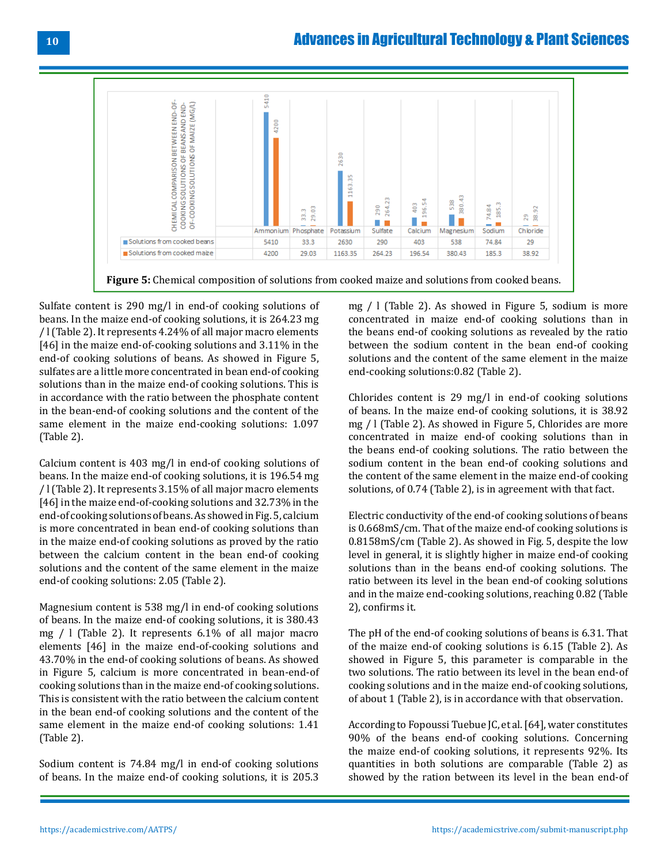

**Figure 5:** Chemical composition of solutions from cooked maize and solutions from cooked beans.

Sulfate content is 290 mg/l in end-of cooking solutions of beans. In the maize end-of cooking solutions, it is 264.23 mg / l (Table 2). It represents 4.24% of all major macro elements [46] in the maize end-of-cooking solutions and 3.11% in the end-of cooking solutions of beans. As showed in Figure 5, sulfates are a little more concentrated in bean end-of cooking solutions than in the maize end-of cooking solutions. This is in accordance with the ratio between the phosphate content in the bean-end-of cooking solutions and the content of the same element in the maize end-cooking solutions: 1.097 (Table 2).

Calcium content is 403 mg/l in end-of cooking solutions of beans. In the maize end-of cooking solutions, it is 196.54 mg / l (Table 2). It represents 3.15% of all major macro elements [46] in the maize end-of-cooking solutions and 32.73% in the end-of cooking solutions of beans. As showed in Fig. 5, calcium is more concentrated in bean end-of cooking solutions than in the maize end-of cooking solutions as proved by the ratio between the calcium content in the bean end-of cooking solutions and the content of the same element in the maize end-of cooking solutions: 2.05 (Table 2).

Magnesium content is 538 mg/l in end-of cooking solutions of beans. In the maize end-of cooking solutions, it is 380.43 mg / l (Table 2). It represents 6.1% of all major macro elements [46] in the maize end-of-cooking solutions and 43.70% in the end-of cooking solutions of beans. As showed in Figure 5, calcium is more concentrated in bean-end-of cooking solutions than in the maize end-of cooking solutions. This is consistent with the ratio between the calcium content in the bean end-of cooking solutions and the content of the same element in the maize end-of cooking solutions: 1.41 (Table 2).

Sodium content is 74.84 mg/l in end-of cooking solutions of beans. In the maize end-of cooking solutions, it is 205.3

mg / l (Table 2). As showed in Figure 5, sodium is more concentrated in maize end-of cooking solutions than in the beans end-of cooking solutions as revealed by the ratio between the sodium content in the bean end-of cooking solutions and the content of the same element in the maize end-cooking solutions:0.82 (Table 2).

Chlorides content is 29 mg/l in end-of cooking solutions of beans. In the maize end-of cooking solutions, it is 38.92 mg / l (Table 2). As showed in Figure 5, Chlorides are more concentrated in maize end-of cooking solutions than in the beans end-of cooking solutions. The ratio between the sodium content in the bean end-of cooking solutions and the content of the same element in the maize end-of cooking solutions, of 0.74 (Table 2), is in agreement with that fact.

Electric conductivity of the end-of cooking solutions of beans is 0.668mS/cm. That of the maize end-of cooking solutions is 0.8158mS/cm (Table 2). As showed in Fig. 5, despite the low level in general, it is slightly higher in maize end-of cooking solutions than in the beans end-of cooking solutions. The ratio between its level in the bean end-of cooking solutions and in the maize end-cooking solutions, reaching 0.82 (Table 2), confirms it.

The pH of the end-of cooking solutions of beans is 6.31. That of the maize end-of cooking solutions is 6.15 (Table 2). As showed in Figure 5, this parameter is comparable in the two solutions. The ratio between its level in the bean end-of cooking solutions and in the maize end-of cooking solutions, of about 1 (Table 2), is in accordance with that observation.

According to Fopoussi Tuebue JC, et al. [64], water constitutes 90% of the beans end-of cooking solutions. Concerning the maize end-of cooking solutions, it represents 92%. Its quantities in both solutions are comparable (Table 2) as showed by the ration between its level in the bean end-of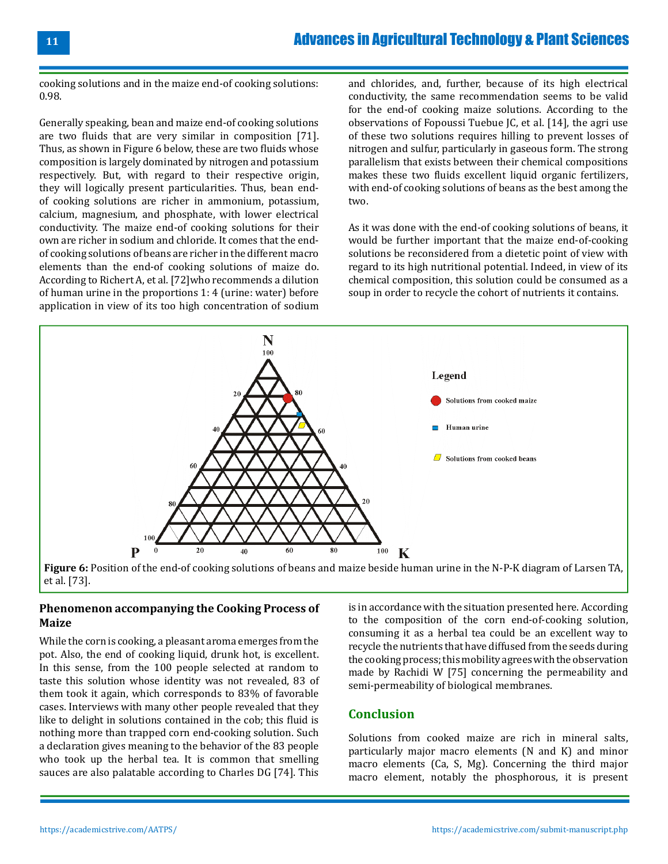**11**

cooking solutions and in the maize end-of cooking solutions: 0.98.

Generally speaking, bean and maize end-of cooking solutions are two fluids that are very similar in composition [71]. Thus, as shown in Figure 6 below, these are two fluids whose composition is largely dominated by nitrogen and potassium respectively. But, with regard to their respective origin, they will logically present particularities. Thus, bean endof cooking solutions are richer in ammonium, potassium, calcium, magnesium, and phosphate, with lower electrical conductivity. The maize end-of cooking solutions for their own are richer in sodium and chloride. It comes that the endof cooking solutions of beans are richer in the different macro elements than the end-of cooking solutions of maize do. According to Richert A, et al. [72]who recommends a dilution of human urine in the proportions 1: 4 (urine: water) before application in view of its too high concentration of sodium

and chlorides, and, further, because of its high electrical conductivity, the same recommendation seems to be valid for the end-of cooking maize solutions. According to the observations of Fopoussi Tuebue JC, et al. [14], the agri use of these two solutions requires hilling to prevent losses of nitrogen and sulfur, particularly in gaseous form. The strong parallelism that exists between their chemical compositions makes these two fluids excellent liquid organic fertilizers, with end-of cooking solutions of beans as the best among the two.

As it was done with the end-of cooking solutions of beans, it would be further important that the maize end-of-cooking solutions be reconsidered from a dietetic point of view with regard to its high nutritional potential. Indeed, in view of its chemical composition, this solution could be consumed as a soup in order to recycle the cohort of nutrients it contains.





### **Phenomenon accompanying the Cooking Process of Maize**

While the corn is cooking, a pleasant aroma emerges from the pot. Also, the end of cooking liquid, drunk hot, is excellent. In this sense, from the 100 people selected at random to taste this solution whose identity was not revealed, 83 of them took it again, which corresponds to 83% of favorable cases. Interviews with many other people revealed that they like to delight in solutions contained in the cob; this fluid is nothing more than trapped corn end-cooking solution. Such a declaration gives meaning to the behavior of the 83 people who took up the herbal tea. It is common that smelling sauces are also palatable according to Charles DG [74]. This

is in accordance with the situation presented here. According to the composition of the corn end-of-cooking solution, consuming it as a herbal tea could be an excellent way to recycle the nutrients that have diffused from the seeds during the cooking process; this mobility agrees with the observation made by Rachidi W [75] concerning the permeability and semi-permeability of biological membranes.

# **Conclusion**

Solutions from cooked maize are rich in mineral salts, particularly major macro elements (N and K) and minor macro elements (Ca, S, Mg). Concerning the third major macro element, notably the phosphorous, it is present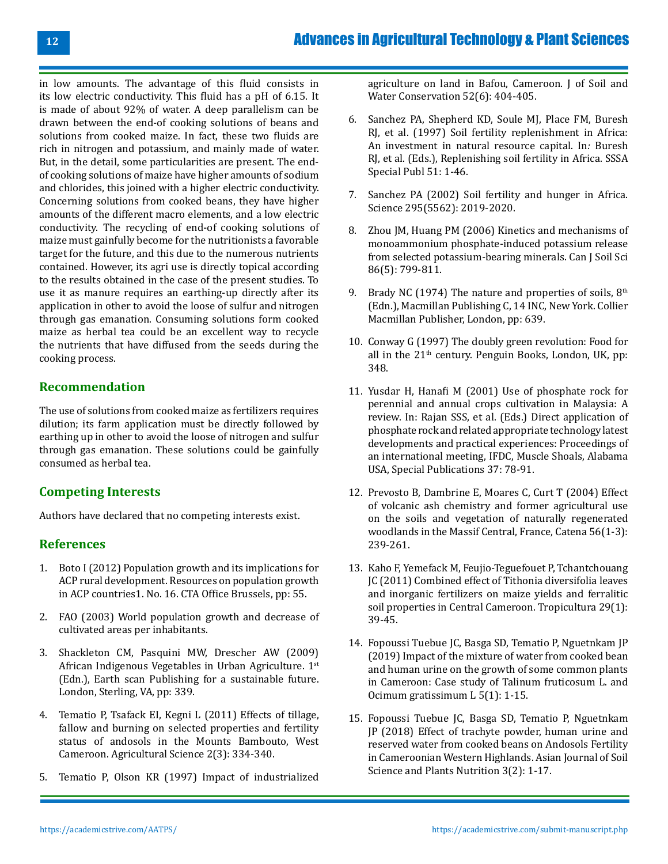in low amounts. The advantage of this fluid consists in its low electric conductivity. This fluid has a pH of 6.15. It is made of about 92% of water. A deep parallelism can be drawn between the end-of cooking solutions of beans and solutions from cooked maize. In fact, these two fluids are rich in nitrogen and potassium, and mainly made of water. But, in the detail, some particularities are present. The endof cooking solutions of maize have higher amounts of sodium and chlorides, this joined with a higher electric conductivity. Concerning solutions from cooked beans, they have higher amounts of the different macro elements, and a low electric conductivity. The recycling of end-of cooking solutions of maize must gainfully become for the nutritionists a favorable target for the future, and this due to the numerous nutrients contained. However, its agri use is directly topical according to the results obtained in the case of the present studies. To use it as manure requires an earthing-up directly after its application in other to avoid the loose of sulfur and nitrogen through gas emanation. Consuming solutions form cooked maize as herbal tea could be an excellent way to recycle the nutrients that have diffused from the seeds during the cooking process.

# **Recommendation**

The use of solutions from cooked maize as fertilizers requires dilution; its farm application must be directly followed by earthing up in other to avoid the loose of nitrogen and sulfur through gas emanation. These solutions could be gainfully consumed as herbal tea.

# **Competing Interests**

Authors have declared that no competing interests exist.

# **References**

- 1. Boto I (2012) Population growth and its implications for ACP rural development. Resources on population growth in ACP countries1. No. 16. CTA Office Brussels, pp: 55.
- 2. FAO (2003) World population growth and decrease of cultivated areas per inhabitants.
- 3. [Shackleton CM, Pasquini MW, Drescher AW \(2009\)](https://www.routledge.com/African-Indigenous-Vegetables-in-Urban-Agriculture/Shackleton-Pasquini-Drescher/p/book/9781844077151) [African Indigenous Vegetables in Urban Agriculture. 1](https://www.routledge.com/African-Indigenous-Vegetables-in-Urban-Agriculture/Shackleton-Pasquini-Drescher/p/book/9781844077151)st [\(Edn.\), Earth scan Publishing for a sustainable future.](https://www.routledge.com/African-Indigenous-Vegetables-in-Urban-Agriculture/Shackleton-Pasquini-Drescher/p/book/9781844077151) [London, Sterling, VA, pp: 339.](https://www.routledge.com/African-Indigenous-Vegetables-in-Urban-Agriculture/Shackleton-Pasquini-Drescher/p/book/9781844077151)
- 4. [Tematio P, Tsafack EI, Kegni L \(2011\) Effects of tillage,](https://www.scirp.org/journal/paperinformation.aspx?paperid=6603) [fallow and burning on selected properties and fertility](https://www.scirp.org/journal/paperinformation.aspx?paperid=6603) [status of andosols in the Mounts Bambouto, West](https://www.scirp.org/journal/paperinformation.aspx?paperid=6603) [Cameroon. Agricultural Science 2\(3\): 334-340.](https://www.scirp.org/journal/paperinformation.aspx?paperid=6603)
- 5. [Tematio P, Olson KR \(1997\) Impact of industrialized](https://www.jswconline.org/content/52/6/404)

[agriculture on land in Bafou, Cameroon. J of Soil and](https://www.jswconline.org/content/52/6/404)  [Water Conservation 52\(6\): 404-405.](https://www.jswconline.org/content/52/6/404)

- 6. [Sanchez PA, Shepherd KD, Soule MJ, Place FM, Buresh](https://acsess.onlinelibrary.wiley.com/doi/abs/10.2136/sssaspecpub51.c1)  [RJ, et al. \(1997\) Soil fertility replenishment in Africa:](https://acsess.onlinelibrary.wiley.com/doi/abs/10.2136/sssaspecpub51.c1) [An investment in natural resource capital. In](https://acsess.onlinelibrary.wiley.com/doi/abs/10.2136/sssaspecpub51.c1)*:* Buresh [RJ, et al. \(Eds.\), Replenishing soil fertility in Africa. SSSA](https://acsess.onlinelibrary.wiley.com/doi/abs/10.2136/sssaspecpub51.c1)  [Special Publ 51: 1-46.](https://acsess.onlinelibrary.wiley.com/doi/abs/10.2136/sssaspecpub51.c1)
- 7. [Sanchez PA \(2002\) Soil fertility and hunger in Africa.](https://pubmed.ncbi.nlm.nih.gov/11896257/)  [Science 295\(5562\): 2019-2020.](https://pubmed.ncbi.nlm.nih.gov/11896257/)
- 8. [Zhou JM, Huang PM \(2006\) Kinetics and mechanisms of](https://cdnsciencepub.com/doi/10.4141/S06-020) [monoammonium phosphate-induced potassium release](https://cdnsciencepub.com/doi/10.4141/S06-020) [from selected potassium-bearing minerals. Can J Soil Sci](https://cdnsciencepub.com/doi/10.4141/S06-020) [86\(5\): 799-811.](https://cdnsciencepub.com/doi/10.4141/S06-020)
- 9. Brady NC (1974) The nature and properties of soils,  $8<sup>th</sup>$ [\(Edn.\), Macmillan Publishing C, 14 INC, New York. Collier](https://acsess.onlinelibrary.wiley.com/doi/10.2136/sssaj1975.03615995003900050003x) [Macmillan Publisher, London, pp: 639.](https://acsess.onlinelibrary.wiley.com/doi/10.2136/sssaj1975.03615995003900050003x)
- 10. [Conway G \(1997\) The doubly green revolution: Food for](https://www.cabdirect.org/cabdirect/abstract/19996778255) all in the  $21<sup>th</sup>$  century. Penguin Books, London, UK, pp: [348.](https://www.cabdirect.org/cabdirect/abstract/19996778255)
- 11. [Yusdar H, Hanafi M \(2001\) Use of phosphate rock for](https://eurekamag.com/research/003/999/003999451.php) [perennial and annual crops cultivation in Malaysia: A](https://eurekamag.com/research/003/999/003999451.php) [review. In: Rajan SSS, et al. \(Eds.\) Direct application of](https://eurekamag.com/research/003/999/003999451.php) [phosphate rock and related appropriate technology latest](https://eurekamag.com/research/003/999/003999451.php) [developments and practical experiences: Proceedings of](https://eurekamag.com/research/003/999/003999451.php)  [an international meeting, IFDC, Muscle Shoals, Alabama](https://eurekamag.com/research/003/999/003999451.php)  [USA, Special Publications 37: 78-91.](https://eurekamag.com/research/003/999/003999451.php)
- 12. [Prevosto B, Dambrine E, Moares C, Curt T \(2004\) Effect](https://www.sciencedirect.com/science/article/abs/pii/S0341816203002078)  [of volcanic ash chemistry and former agricultural use](https://www.sciencedirect.com/science/article/abs/pii/S0341816203002078)  [on the soils and vegetation of naturally regenerated](https://www.sciencedirect.com/science/article/abs/pii/S0341816203002078)  [woodlands in the Massif Central, France, Catena 56\(1-3\):](https://www.sciencedirect.com/science/article/abs/pii/S0341816203002078) [239-261.](https://www.sciencedirect.com/science/article/abs/pii/S0341816203002078)
- 13. Kaho F, Yemefack M, Feujio-Teguefouet P, Tchantchouang JC (2011) Combined effect of Tithonia diversifolia leaves and inorganic fertilizers on maize yields and ferralitic soil properties in Central Cameroon. Tropicultura 29(1): 39-45.
- 14. Fopoussi Tuebue JC, Basga SD, Tematio P, Nguetnkam JP (2019) Impact of the mixture of water from cooked bean and human urine on the growth of some common plants in Cameroon: Case study of Talinum fruticosum L. and Ocimum gratissimum L 5(1): 1-15.
- 15. [Fopoussi Tuebue JC, Basga SD, Tematio P, Nguetnkam](https://www.journalajsspn.com/index.php/AJSSPN/article/view/920)  [JP \(2018\) Effect of trachyte powder, human urine and](https://www.journalajsspn.com/index.php/AJSSPN/article/view/920)  [reserved water from cooked beans on Andosols Fertility](https://www.journalajsspn.com/index.php/AJSSPN/article/view/920)  [in Cameroonian Western Highlands. Asian Journal of Soil](https://www.journalajsspn.com/index.php/AJSSPN/article/view/920)  [Science and Plants Nutrition 3\(2\): 1-17.](https://www.journalajsspn.com/index.php/AJSSPN/article/view/920)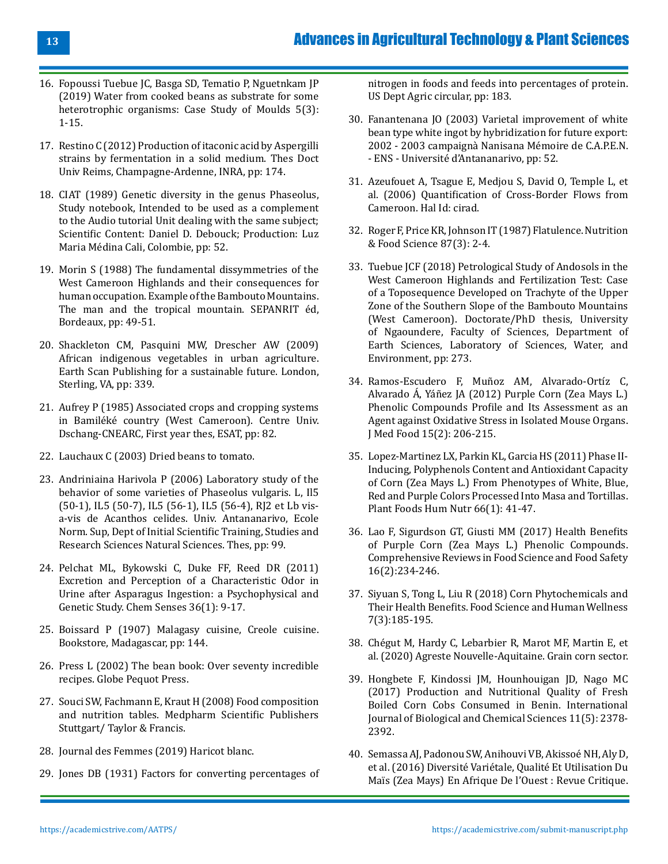- 16. [Fopoussi Tuebue JC, Basga SD, Tematio P, Nguetnkam JP](https://journalajsspn.com/index.php/AJSSPN/article/view/30067/56425) [\(2019\) Water from cooked beans as substrate for some](https://journalajsspn.com/index.php/AJSSPN/article/view/30067/56425) [heterotrophic organisms: Case Study of Moulds 5\(3\):](https://journalajsspn.com/index.php/AJSSPN/article/view/30067/56425) [1-15.](https://journalajsspn.com/index.php/AJSSPN/article/view/30067/56425)
- 17. Restino C (2012) Production of itaconic acid by Aspergilli strains by fermentation in a solid medium. Thes Doct Univ Reims, Champagne-Ardenne, INRA, pp: 174.
- 18. CIAT (1989) Genetic diversity in the genus Phaseolus, Study notebook, Intended to be used as a complement to the Audio tutorial Unit dealing with the same subject; Scientific Content: Daniel D. Debouck; Production: Luz Maria Médina Cali, Colombie, pp: 52.
- 19. Morin S (1988) The fundamental dissymmetries of the West Cameroon Highlands and their consequences for human occupation. Example of the Bambouto Mountains. The man and the tropical mountain. SEPANRIT éd, Bordeaux, pp: 49-51.
- 20. [Shackleton CM, Pasquini MW, Drescher AW \(2009\)](https://www.semanticscholar.org/paper/African-indigenous-vegetables-in-urban-agriculture-Shackleton-Pasquini/) [African indigenous vegetables in urban agriculture.](https://www.semanticscholar.org/paper/African-indigenous-vegetables-in-urban-agriculture-Shackleton-Pasquini/) [Earth Scan Publishing for a sustainable future. London,](https://www.semanticscholar.org/paper/African-indigenous-vegetables-in-urban-agriculture-Shackleton-Pasquini/) [Sterling, VA, pp: 339.](https://www.semanticscholar.org/paper/African-indigenous-vegetables-in-urban-agriculture-Shackleton-Pasquini/)
- 21. Aufrey P (1985) Associated crops and cropping systems in Bamiléké country (West Cameroon). Centre Univ. Dschang-CNEARC, First year thes, ESAT, pp: 82.
- 22. Lauchaux C (2003) Dried beans to tomato.
- 23. Andriniaina Harivola P (2006) Laboratory study of the behavior of some varieties of Phaseolus vulgaris. L, Il5 (50-1), IL5 (50-7), IL5 (56-1), IL5 (56-4), RJ2 et Lb visa-vis de Acanthos celides. Univ. Antananarivo, Ecole Norm. Sup, Dept of Initial Scientific Training, Studies and Research Sciences Natural Sciences. Thes, pp: 99.
- 24. [Pelchat ML, Bykowski C, Duke FF, Reed DR \(2011\)](https://www.unboundmedicine.com/medline/citation/20876394) [Excretion and Perception of a Characteristic Odor in](https://www.unboundmedicine.com/medline/citation/20876394) [Urine after Asparagus Ingestion: a Psychophysical and](https://www.unboundmedicine.com/medline/citation/20876394) [Genetic Study. Chem Senses 36\(1\): 9-17](https://www.unboundmedicine.com/medline/citation/20876394).
- 25. Boissard P (1907) Malagasy cuisine, Creole cuisine. Bookstore, Madagascar, pp: 144.
- 26. Press L (2002) The bean book: Over seventy incredible recipes. Globe Pequot Press.
- 27. Souci SW, Fachmann E, Kraut H (2008) Food composition and nutrition tables. Medpharm Scientific Publishers Stuttgart/ Taylor & Francis.
- 28. Journal des Femmes (2019) Haricot blanc.
- 29. [Jones DB \(1931\) Factors for converting percentages of](https://www.cabdirect.org/cabdirect/abstract/19311401446)

[nitrogen in foods and feeds into percentages of protein.](https://www.cabdirect.org/cabdirect/abstract/19311401446)  [US Dept Agric circular, pp: 183.](https://www.cabdirect.org/cabdirect/abstract/19311401446)

- 30. Fanantenana JO (2003) Varietal improvement of white bean type white ingot by hybridization for future export: 2002 - 2003 campaignà Nanisana Mémoire de C.A.P.E.N. - ENS - Université d'Antananarivo, pp: 52.
- 31. Azeufouet A, Tsague E, Medjou S, David O, Temple L, et al. (2006) Quantification of Cross-Border Flows from Cameroon. Hal Id: cirad.
- 32. [Roger F, Price KR, Johnson IT \(1987\) Flatulence. Nutrition](https://www.emerald.com/insight/content/doi/10.1108/eb059428/full/html) [& Food Science 87\(3\): 2-4.](https://www.emerald.com/insight/content/doi/10.1108/eb059428/full/html)
- 33. Tuebue JCF (2018) Petrological Study of Andosols in the West Cameroon Highlands and Fertilization Test: Case of a Toposequence Developed on Trachyte of the Upper Zone of the Southern Slope of the Bambouto Mountains (West Cameroon). Doctorate/PhD thesis, University of Ngaoundere, Faculty of Sciences, Department of Earth Sciences, Laboratory of Sciences, Water, and Environment, pp: 273.
- 34. [Ramos-Escudero F, Muñoz AM, Alvarado-Ortíz C,](https://pubmed.ncbi.nlm.nih.gov/22082063/)  [Alvarado Á, Yáñez JA \(2012\) Purple Corn \(Zea Mays L.\)](https://pubmed.ncbi.nlm.nih.gov/22082063/)  [Phenolic Compounds Profile and Its Assessment as an](https://pubmed.ncbi.nlm.nih.gov/22082063/)  [Agent against Oxidative Stress in Isolated Mouse Organs.](https://pubmed.ncbi.nlm.nih.gov/22082063/)  [J Med Food 15\(2\): 206-215.](https://pubmed.ncbi.nlm.nih.gov/22082063/)
- 35. [Lopez-Martinez LX, Parkin KL, Garcia HS \(2011\) Phase II-](https://pubmed.ncbi.nlm.nih.gov/21327968/)[Inducing, Polyphenols Content and Antioxidant Capacity](https://pubmed.ncbi.nlm.nih.gov/21327968/)  [of Corn \(Zea Mays L.\) From Phenotypes of White, Blue,](https://pubmed.ncbi.nlm.nih.gov/21327968/)  [Red and Purple Colors Processed Into Masa and Tortillas.](https://pubmed.ncbi.nlm.nih.gov/21327968/)  [Plant Foods Hum Nutr 66\(1\): 41-47.](https://pubmed.ncbi.nlm.nih.gov/21327968/)
- 36. [Lao F, Sigurdson GT, Giusti MM \(2017\) Health Benefits](https://ift.onlinelibrary.wiley.com/doi/abs/10.1111/1541-4337.12249) [of Purple Corn \(Zea Mays L.\) Phenolic Compounds.](https://ift.onlinelibrary.wiley.com/doi/abs/10.1111/1541-4337.12249) [Comprehensive Reviews in Food Science and Food Safety](https://ift.onlinelibrary.wiley.com/doi/abs/10.1111/1541-4337.12249) [16\(2\):234-246.](https://ift.onlinelibrary.wiley.com/doi/abs/10.1111/1541-4337.12249)
- 37. [Siyuan S, Tong L, Liu R \(2018\) Corn Phytochemicals and](https://www.sciencedirect.com/science/article/pii/S2213453018301009) [Their Health Benefits. Food Science and Human Wellness](https://www.sciencedirect.com/science/article/pii/S2213453018301009)  [7\(3\):185-195.](https://www.sciencedirect.com/science/article/pii/S2213453018301009)
- 38. Chégut M, Hardy C, Lebarbier R, Marot MF, Martin E, et al. (2020) Agreste Nouvelle-Aquitaine. Grain corn sector.
- 39. Hongbete F, Kindossi JM, Hounhouigan JD, Nago MC (2017) Production and Nutritional Quality of Fresh Boiled Corn Cobs Consumed in Benin. International Journal of Biological and Chemical Sciences 11(5): 2378- 2392.
- 40. [Semassa AJ, Padonou SW, Anihouvi VB, Akissoé NH, Aly D,](https://eujournal.org/index.php/esj/article/view/7610) [et al. \(2016\) Diversité Variétale, Qualité Et Utilisation Du](https://eujournal.org/index.php/esj/article/view/7610) [Maïs \(Zea Mays\) En Afrique De l'Ouest : Revue Critique.](https://eujournal.org/index.php/esj/article/view/7610)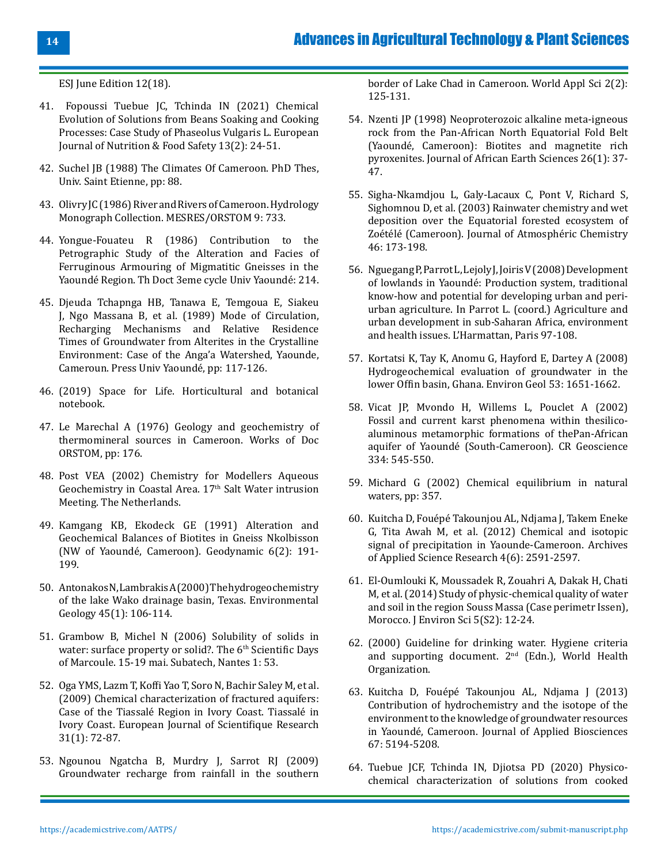[ESJ June Edition 12\(18\).](https://eujournal.org/index.php/esj/article/view/7610)

- 41. [Fopoussi Tuebue JC, Tchinda IN \(2021\) Chemical](https://www.journalejnfs.com/index.php/EJNFS/article/view/30373) [Evolution of Solutions from Beans Soaking and Cooking](https://www.journalejnfs.com/index.php/EJNFS/article/view/30373) [Processes: Case Study of Phaseolus Vulgaris L. European](https://www.journalejnfs.com/index.php/EJNFS/article/view/30373) [Journal of Nutrition & Food Safety 13\(2\): 24-51.](https://www.journalejnfs.com/index.php/EJNFS/article/view/30373)
- 42. Suchel JB (1988) The Climates Of Cameroon. PhD Thes, Univ. Saint Etienne, pp: 88.
- 43. Olivry JC (1986) River and Rivers of Cameroon. Hydrology Monograph Collection. MESRES/ORSTOM 9: 733.
- 44. Yongue-Fouateu R (1986) Contribution to the Petrographic Study of the Alteration and Facies of Ferruginous Armouring of Migmatitic Gneisses in the Yaoundé Region. Th Doct 3eme cycle Univ Yaoundé: 214.
- 45. Djeuda Tchapnga HB, Tanawa E, Temgoua E, Siakeu J, Ngo Massana B, et al. (1989) Mode of Circulation, Recharging Mechanisms and Relative Residence Times of Groundwater from Alterites in the Crystalline Environment: Case of the Anga'a Watershed, Yaounde, Cameroun. Press Univ Yaoundé, pp: 117-126.
- 46. (2019) Space for Life. Horticultural and botanical notebook.
- 47. Le Marechal A (1976) Geology and geochemistry of thermomineral sources in Cameroon. Works of Doc ORSTOM, pp: 176.
- 48. [Post VEA \(2002\) Chemistry for Modellers Aqueous](http://www.swim-site.nl/pdf/swim17/004_post.pdf) [Geochemistry in Coastal Area. 17th Salt Water intrusion](http://www.swim-site.nl/pdf/swim17/004_post.pdf) [Meeting. The Netherlands.](http://www.swim-site.nl/pdf/swim17/004_post.pdf)
- 49. [Kamgang KB, Ekodeck GE \(1991\) Alteration and](https://www.documentation.ird.fr/hor/fdi:010011262) [Geochemical Balances of Biotites in Gneiss Nkolbisson](https://www.documentation.ird.fr/hor/fdi:010011262) [\(NW of Yaoundé, Cameroon\). Geodynamic 6\(2\): 191-](https://www.documentation.ird.fr/hor/fdi:010011262) [199.](https://www.documentation.ird.fr/hor/fdi:010011262)
- 50. Antonakos N, Lambrakis A (2000) The hydrogeochemistry of the lake Wako drainage basin, Texas. Environmental Geology 45(1): 106-114.
- 51. Grambow B, Michel N (2006) Solubility of solids in water: surface property or solid?. The 6<sup>th</sup> Scientific Days of Marcoule. 15-19 mai. Subatech, Nantes 1: 53.
- 52. [Oga YMS, Lazm T, Koffi Yao T, Soro N, Bachir Saley M, et al.](https://hero.epa.gov/hero/index.cfm/reference/details/reference_id/8219058) [\(2009\) Chemical characterization of fractured aquifers:](https://hero.epa.gov/hero/index.cfm/reference/details/reference_id/8219058) [Case of the Tiassalé Region in Ivory Coast. Tiassalé in](https://hero.epa.gov/hero/index.cfm/reference/details/reference_id/8219058) [Ivory Coast. European Journal of Scientifique Research](https://hero.epa.gov/hero/index.cfm/reference/details/reference_id/8219058) [31\(1\): 72-87.](https://hero.epa.gov/hero/index.cfm/reference/details/reference_id/8219058)
- 53. [Ngounou Ngatcha B, Murdry J, Sarrot RJ \(2009\)](https://catalog.ihsn.org/citations/80063) [Groundwater recharge from rainfall in the southern](https://catalog.ihsn.org/citations/80063)

[border of Lake Chad in Cameroon. World Appl Sci 2\(2\):](https://catalog.ihsn.org/citations/80063) [125-131.](https://catalog.ihsn.org/citations/80063)

- 54. [Nzenti JP \(1998\) Neoproterozoic alkaline meta-igneous](https://www.sciencedirect.com/science/article/abs/pii/S0899536297001358)  [rock from the Pan-African North Equatorial Fold Belt](https://www.sciencedirect.com/science/article/abs/pii/S0899536297001358) [\(Yaoundé, Cameroon\): Biotites and magnetite rich](https://www.sciencedirect.com/science/article/abs/pii/S0899536297001358) [pyroxenites. Journal of African Earth Sciences 26\(1\): 37-](https://www.sciencedirect.com/science/article/abs/pii/S0899536297001358) [47.](https://www.sciencedirect.com/science/article/abs/pii/S0899536297001358)
- 55. [Sigha-Nkamdjou L, Galy-Lacaux C, Pont V, Richard S,](https://link.springer.com/article/10.1023/A:1026057413640)  [Sighomnou D, et al. \(2003\) Rainwater chemistry and wet](https://link.springer.com/article/10.1023/A:1026057413640)  [deposition over the Equatorial forested ecosystem of](https://link.springer.com/article/10.1023/A:1026057413640) [Zoétélé \(Cameroon\). Journal of Atmosphéric Chemistry](https://link.springer.com/article/10.1023/A:1026057413640) [46: 173-198.](https://link.springer.com/article/10.1023/A:1026057413640)
- 56. Nguegang P, Parrot L, Lejoly J, Joiris V (2008) Development of lowlands in Yaoundé: Production system, traditional know-how and potential for developing urban and periurban agriculture. In Parrot L. (coord.) Agriculture and urban development in sub-Saharan Africa, environment and health issues. L'Harmattan, Paris 97-108.
- 57. [Kortatsi K, Tay K, Anomu G, Hayford E, Dartey A \(2008\)](https://www.academia.edu/6099833/Hydrogeochemical_evaluation_of_groundwater_in_the_lower_Offin_basin_Ghana) [Hydrogeochemical evaluation of groundwater in the](https://www.academia.edu/6099833/Hydrogeochemical_evaluation_of_groundwater_in_the_lower_Offin_basin_Ghana) [lower Offin basin, Ghana. Environ Geol 53: 1651-1662.](https://www.academia.edu/6099833/Hydrogeochemical_evaluation_of_groundwater_in_the_lower_Offin_basin_Ghana)
- 58. [Vicat JP, Mvondo H, Willems L, Pouclet A \(2002\)](https://www.academia.edu/19656577/Fossil_and_present_time_karstic_phenomena_in_silico_aluminous_metamorphic_formations_of_the_Pan_African_nappe_of_Yaounde_South_Cameroon_) [Fossil and current karst phenomena within thesilico](https://www.academia.edu/19656577/Fossil_and_present_time_karstic_phenomena_in_silico_aluminous_metamorphic_formations_of_the_Pan_African_nappe_of_Yaounde_South_Cameroon_)[aluminous metamorphic formations of thePan-African](https://www.academia.edu/19656577/Fossil_and_present_time_karstic_phenomena_in_silico_aluminous_metamorphic_formations_of_the_Pan_African_nappe_of_Yaounde_South_Cameroon_) [aquifer of Yaoundé \(South-Cameroon\). CR Geoscience](https://www.academia.edu/19656577/Fossil_and_present_time_karstic_phenomena_in_silico_aluminous_metamorphic_formations_of_the_Pan_African_nappe_of_Yaounde_South_Cameroon_) [334: 545-550.](https://www.academia.edu/19656577/Fossil_and_present_time_karstic_phenomena_in_silico_aluminous_metamorphic_formations_of_the_Pan_African_nappe_of_Yaounde_South_Cameroon_)
- 59. Michard G (2002) Chemical equilibrium in natural waters, pp: 357.
- 60. [Kuitcha D, Fouépé Takounjou AL, Ndjama J, Takem Eneke](https://www.scholarsresearchlibrary.com/abstract/chemical-and-isotopic-signal-of-precipitation-in-yaoundecameroon-9925.html)  [G, Tita Awah M, et al. \(2012\) Chemical and isotopic](https://www.scholarsresearchlibrary.com/abstract/chemical-and-isotopic-signal-of-precipitation-in-yaoundecameroon-9925.html) [signal of precipitation in Yaounde-Cameroon. Archives](https://www.scholarsresearchlibrary.com/abstract/chemical-and-isotopic-signal-of-precipitation-in-yaoundecameroon-9925.html) [of Applied Science Research 4\(6\): 2591-2597.](https://www.scholarsresearchlibrary.com/abstract/chemical-and-isotopic-signal-of-precipitation-in-yaoundecameroon-9925.html)
- 61. El-Oumlouki K, Moussadek R, Zouahri A, Dakak H, Chati M, et al. (2014) Study of physic-chemical quality of water and soil in the region Souss Massa (Case perimetr Issen), Morocco. J Environ Sci 5(S2): 12-24.
- 62. (2000) Guideline for drinking water. Hygiene criteria and supporting document.  $2<sup>nd</sup>$  (Edn.), World Health Organization.
- 63. Kuitcha D, Fouépé Takounjou AL, Ndjama J (2013) Contribution of hydrochemistry and the isotope of the environment to the knowledge of groundwater resources in Yaoundé, Cameroon. Journal of Applied Biosciences 67: 5194-5208.
- 64. [Tuebue JCF, Tchinda IN, Djiotsa PD \(2020\) Physico](https://journalejnfs.com/index.php/EJNFS/article/view/30331)[chemical characterization of solutions from cooked](https://journalejnfs.com/index.php/EJNFS/article/view/30331)